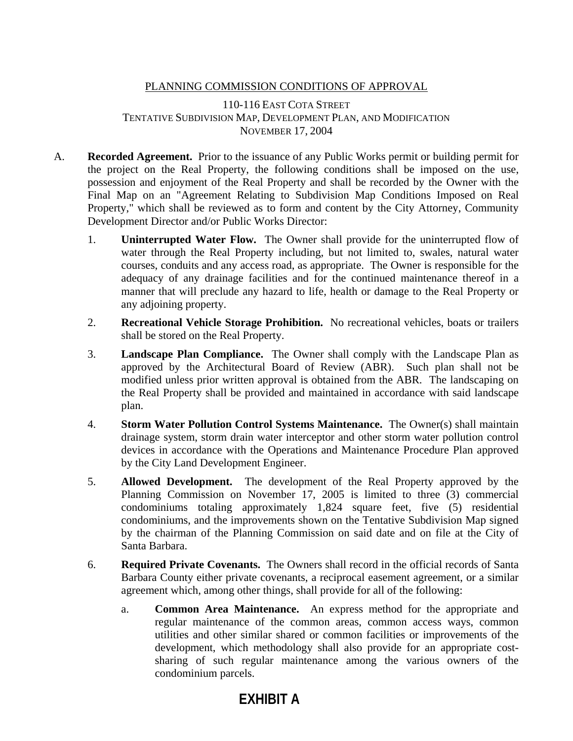## PLANNING COMMISSION CONDITIONS OF APPROVAL

### 110-116 EAST COTA STREET TENTATIVE SUBDIVISION MAP, DEVELOPMENT PLAN, AND MODIFICATION NOVEMBER 17, 2004

- A. **Recorded Agreement.** Prior to the issuance of any Public Works permit or building permit for the project on the Real Property, the following conditions shall be imposed on the use, possession and enjoyment of the Real Property and shall be recorded by the Owner with the Final Map on an "Agreement Relating to Subdivision Map Conditions Imposed on Real Property," which shall be reviewed as to form and content by the City Attorney, Community Development Director and/or Public Works Director:
	- 1. **Uninterrupted Water Flow.** The Owner shall provide for the uninterrupted flow of water through the Real Property including, but not limited to, swales, natural water courses, conduits and any access road, as appropriate. The Owner is responsible for the adequacy of any drainage facilities and for the continued maintenance thereof in a manner that will preclude any hazard to life, health or damage to the Real Property or any adjoining property.
	- 2. **Recreational Vehicle Storage Prohibition.** No recreational vehicles, boats or trailers shall be stored on the Real Property.
	- 3. **Landscape Plan Compliance.** The Owner shall comply with the Landscape Plan as approved by the Architectural Board of Review (ABR). Such plan shall not be modified unless prior written approval is obtained from the ABR. The landscaping on the Real Property shall be provided and maintained in accordance with said landscape plan.
	- 4. **Storm Water Pollution Control Systems Maintenance.** The Owner(s) shall maintain drainage system, storm drain water interceptor and other storm water pollution control devices in accordance with the Operations and Maintenance Procedure Plan approved by the City Land Development Engineer.
	- 5. **Allowed Development.** The development of the Real Property approved by the Planning Commission on November 17, 2005 is limited to three (3) commercial condominiums totaling approximately 1,824 square feet, five (5) residential condominiums, and the improvements shown on the Tentative Subdivision Map signed by the chairman of the Planning Commission on said date and on file at the City of Santa Barbara.
	- 6. **Required Private Covenants.** The Owners shall record in the official records of Santa Barbara County either private covenants, a reciprocal easement agreement, or a similar agreement which, among other things, shall provide for all of the following:
		- a. **Common Area Maintenance.** An express method for the appropriate and regular maintenance of the common areas, common access ways, common utilities and other similar shared or common facilities or improvements of the development, which methodology shall also provide for an appropriate costsharing of such regular maintenance among the various owners of the condominium parcels.

# **EXHIBIT A**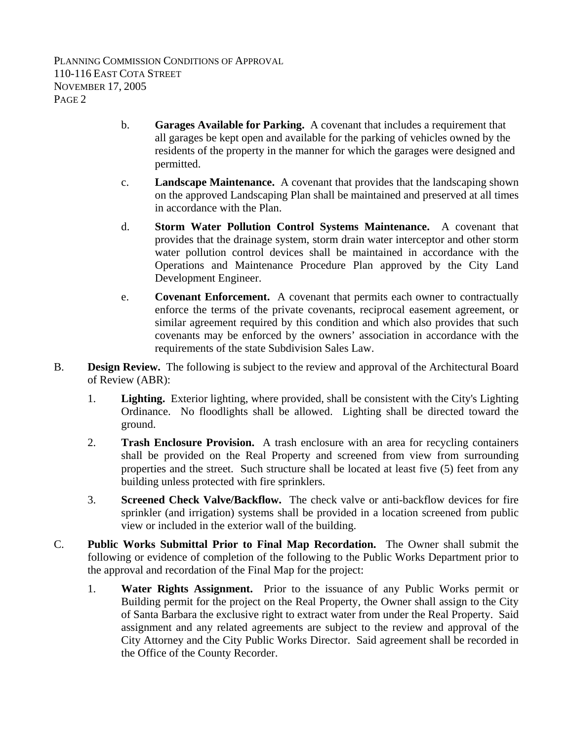- b. **Garages Available for Parking.** A covenant that includes a requirement that all garages be kept open and available for the parking of vehicles owned by the residents of the property in the manner for which the garages were designed and permitted.
- c. **Landscape Maintenance.** A covenant that provides that the landscaping shown on the approved Landscaping Plan shall be maintained and preserved at all times in accordance with the Plan.
- d. **Storm Water Pollution Control Systems Maintenance.** A covenant that provides that the drainage system, storm drain water interceptor and other storm water pollution control devices shall be maintained in accordance with the Operations and Maintenance Procedure Plan approved by the City Land Development Engineer.
- e. **Covenant Enforcement.** A covenant that permits each owner to contractually enforce the terms of the private covenants, reciprocal easement agreement, or similar agreement required by this condition and which also provides that such covenants may be enforced by the owners' association in accordance with the requirements of the state Subdivision Sales Law.
- B. **Design Review.** The following is subject to the review and approval of the Architectural Board of Review (ABR):
	- 1. **Lighting.** Exterior lighting, where provided, shall be consistent with the City's Lighting Ordinance. No floodlights shall be allowed. Lighting shall be directed toward the ground.
	- 2. **Trash Enclosure Provision.** A trash enclosure with an area for recycling containers shall be provided on the Real Property and screened from view from surrounding properties and the street. Such structure shall be located at least five (5) feet from any building unless protected with fire sprinklers.
	- 3. **Screened Check Valve/Backflow.** The check valve or anti-backflow devices for fire sprinkler (and irrigation) systems shall be provided in a location screened from public view or included in the exterior wall of the building.
- C. **Public Works Submittal Prior to Final Map Recordation.** The Owner shall submit the following or evidence of completion of the following to the Public Works Department prior to the approval and recordation of the Final Map for the project:
	- 1. **Water Rights Assignment.** Prior to the issuance of any Public Works permit or Building permit for the project on the Real Property, the Owner shall assign to the City of Santa Barbara the exclusive right to extract water from under the Real Property. Said assignment and any related agreements are subject to the review and approval of the City Attorney and the City Public Works Director. Said agreement shall be recorded in the Office of the County Recorder.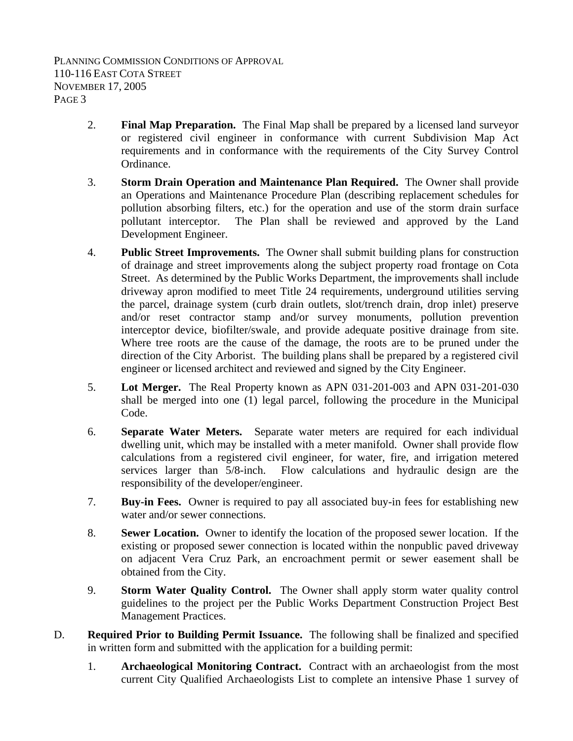- 2. **Final Map Preparation.** The Final Map shall be prepared by a licensed land surveyor or registered civil engineer in conformance with current Subdivision Map Act requirements and in conformance with the requirements of the City Survey Control Ordinance.
- 3. **Storm Drain Operation and Maintenance Plan Required.** The Owner shall provide an Operations and Maintenance Procedure Plan (describing replacement schedules for pollution absorbing filters, etc.) for the operation and use of the storm drain surface pollutant interceptor. The Plan shall be reviewed and approved by the Land Development Engineer.
- 4. **Public Street Improvements.** The Owner shall submit building plans for construction of drainage and street improvements along the subject property road frontage on Cota Street. As determined by the Public Works Department, the improvements shall include driveway apron modified to meet Title 24 requirements, underground utilities serving the parcel, drainage system (curb drain outlets, slot/trench drain, drop inlet) preserve and/or reset contractor stamp and/or survey monuments, pollution prevention interceptor device, biofilter/swale, and provide adequate positive drainage from site. Where tree roots are the cause of the damage, the roots are to be pruned under the direction of the City Arborist. The building plans shall be prepared by a registered civil engineer or licensed architect and reviewed and signed by the City Engineer.
- 5. **Lot Merger.** The Real Property known as APN 031-201-003 and APN 031-201-030 shall be merged into one (1) legal parcel, following the procedure in the Municipal Code.
- 6. **Separate Water Meters.** Separate water meters are required for each individual dwelling unit, which may be installed with a meter manifold. Owner shall provide flow calculations from a registered civil engineer, for water, fire, and irrigation metered services larger than 5/8-inch. Flow calculations and hydraulic design are the responsibility of the developer/engineer.
- 7. **Buy-in Fees.** Owner is required to pay all associated buy-in fees for establishing new water and/or sewer connections.
- 8. **Sewer Location.** Owner to identify the location of the proposed sewer location. If the existing or proposed sewer connection is located within the nonpublic paved driveway on adjacent Vera Cruz Park, an encroachment permit or sewer easement shall be obtained from the City.
- 9. **Storm Water Quality Control.** The Owner shall apply storm water quality control guidelines to the project per the Public Works Department Construction Project Best Management Practices.
- D. **Required Prior to Building Permit Issuance.** The following shall be finalized and specified in written form and submitted with the application for a building permit:
	- 1. **Archaeological Monitoring Contract.** Contract with an archaeologist from the most current City Qualified Archaeologists List to complete an intensive Phase 1 survey of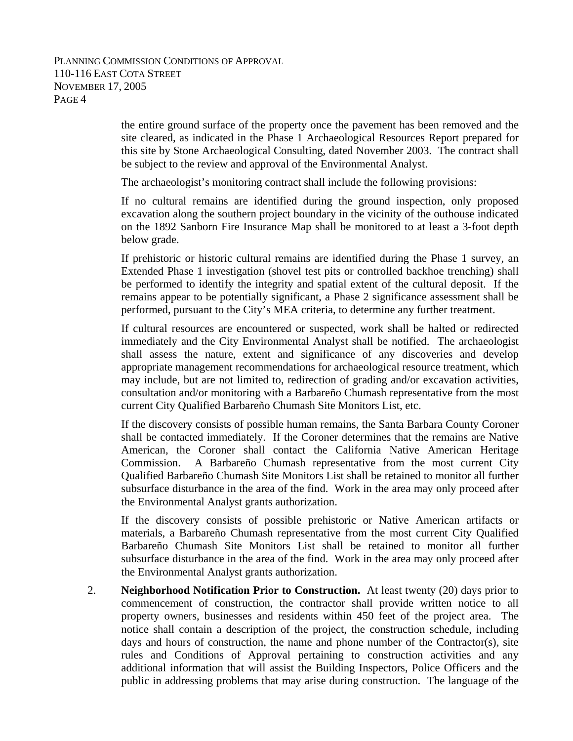### PLANNING COMMISSION CONDITIONS OF APPROVAL 110-116 EAST COTA STREET NOVEMBER 17, 2005 PAGE 4

the entire ground surface of the property once the pavement has been removed and the site cleared, as indicated in the Phase 1 Archaeological Resources Report prepared for this site by Stone Archaeological Consulting, dated November 2003. The contract shall be subject to the review and approval of the Environmental Analyst.

The archaeologist's monitoring contract shall include the following provisions:

 If no cultural remains are identified during the ground inspection, only proposed excavation along the southern project boundary in the vicinity of the outhouse indicated on the 1892 Sanborn Fire Insurance Map shall be monitored to at least a 3-foot depth below grade.

 If prehistoric or historic cultural remains are identified during the Phase 1 survey, an Extended Phase 1 investigation (shovel test pits or controlled backhoe trenching) shall be performed to identify the integrity and spatial extent of the cultural deposit. If the remains appear to be potentially significant, a Phase 2 significance assessment shall be performed, pursuant to the City's MEA criteria, to determine any further treatment.

 If cultural resources are encountered or suspected, work shall be halted or redirected immediately and the City Environmental Analyst shall be notified. The archaeologist shall assess the nature, extent and significance of any discoveries and develop appropriate management recommendations for archaeological resource treatment, which may include, but are not limited to, redirection of grading and/or excavation activities, consultation and/or monitoring with a Barbareño Chumash representative from the most current City Qualified Barbareño Chumash Site Monitors List, etc.

 If the discovery consists of possible human remains, the Santa Barbara County Coroner shall be contacted immediately. If the Coroner determines that the remains are Native American, the Coroner shall contact the California Native American Heritage Commission. A Barbareño Chumash representative from the most current City Qualified Barbareño Chumash Site Monitors List shall be retained to monitor all further subsurface disturbance in the area of the find. Work in the area may only proceed after the Environmental Analyst grants authorization.

If the discovery consists of possible prehistoric or Native American artifacts or materials, a Barbareño Chumash representative from the most current City Qualified Barbareño Chumash Site Monitors List shall be retained to monitor all further subsurface disturbance in the area of the find. Work in the area may only proceed after the Environmental Analyst grants authorization.

2. **Neighborhood Notification Prior to Construction.** At least twenty (20) days prior to commencement of construction, the contractor shall provide written notice to all property owners, businesses and residents within 450 feet of the project area. The notice shall contain a description of the project, the construction schedule, including days and hours of construction, the name and phone number of the Contractor(s), site rules and Conditions of Approval pertaining to construction activities and any additional information that will assist the Building Inspectors, Police Officers and the public in addressing problems that may arise during construction. The language of the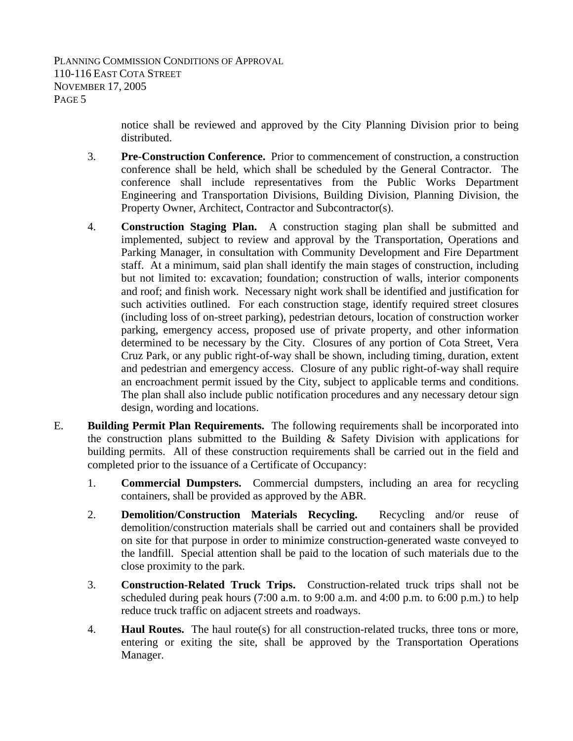notice shall be reviewed and approved by the City Planning Division prior to being distributed.

- 3. **Pre-Construction Conference.** Prior to commencement of construction, a construction conference shall be held, which shall be scheduled by the General Contractor. The conference shall include representatives from the Public Works Department Engineering and Transportation Divisions, Building Division, Planning Division, the Property Owner, Architect, Contractor and Subcontractor(s).
- 4. **Construction Staging Plan.** A construction staging plan shall be submitted and implemented, subject to review and approval by the Transportation, Operations and Parking Manager, in consultation with Community Development and Fire Department staff. At a minimum, said plan shall identify the main stages of construction, including but not limited to: excavation; foundation; construction of walls, interior components and roof; and finish work. Necessary night work shall be identified and justification for such activities outlined. For each construction stage, identify required street closures (including loss of on-street parking), pedestrian detours, location of construction worker parking, emergency access, proposed use of private property, and other information determined to be necessary by the City. Closures of any portion of Cota Street, Vera Cruz Park, or any public right-of-way shall be shown, including timing, duration, extent and pedestrian and emergency access. Closure of any public right-of-way shall require an encroachment permit issued by the City, subject to applicable terms and conditions. The plan shall also include public notification procedures and any necessary detour sign design, wording and locations.
- E. **Building Permit Plan Requirements.** The following requirements shall be incorporated into the construction plans submitted to the Building & Safety Division with applications for building permits. All of these construction requirements shall be carried out in the field and completed prior to the issuance of a Certificate of Occupancy:
	- 1. **Commercial Dumpsters.** Commercial dumpsters, including an area for recycling containers, shall be provided as approved by the ABR.
	- 2. **Demolition/Construction Materials Recycling.** Recycling and/or reuse of demolition/construction materials shall be carried out and containers shall be provided on site for that purpose in order to minimize construction-generated waste conveyed to the landfill. Special attention shall be paid to the location of such materials due to the close proximity to the park.
	- 3. **Construction-Related Truck Trips.** Construction-related truck trips shall not be scheduled during peak hours  $(7:00 \text{ a.m. to } 9:00 \text{ a.m. and } 4:00 \text{ p.m. to } 6:00 \text{ p.m.})$  to help reduce truck traffic on adjacent streets and roadways.
	- 4. **Haul Routes.** The haul route(s) for all construction-related trucks, three tons or more, entering or exiting the site, shall be approved by the Transportation Operations Manager.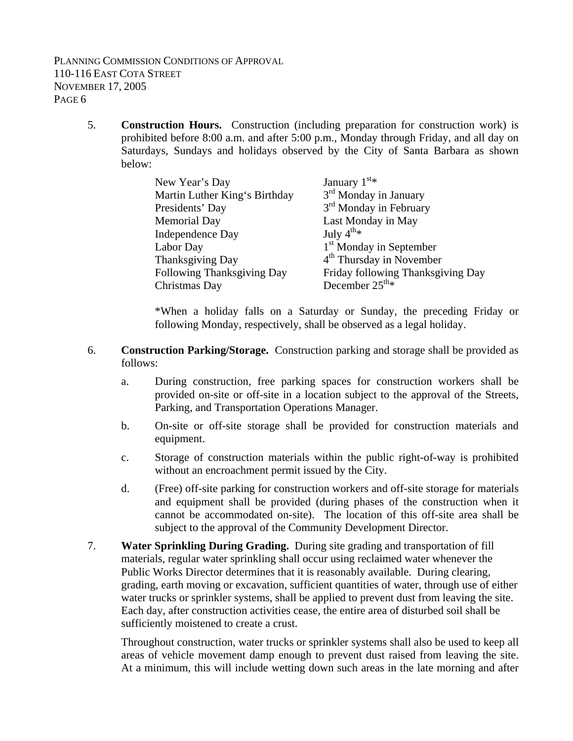5. **Construction Hours.** Construction (including preparation for construction work) is prohibited before 8:00 a.m. and after 5:00 p.m., Monday through Friday, and all day on Saturdays, Sundays and holidays observed by the City of Santa Barbara as shown below:

| New Year's Day                | January $1st$ *                      |
|-------------------------------|--------------------------------------|
| Martin Luther King's Birthday | $3rd$ Monday in January              |
| Presidents' Day               | 3 <sup>rd</sup> Monday in February   |
| <b>Memorial Day</b>           | Last Monday in May                   |
| Independence Day              | July $4^{\text{th}}*$                |
| Labor Day                     | 1 <sup>st</sup> Monday in September  |
| Thanksgiving Day              | 4 <sup>th</sup> Thursday in November |
| Following Thanksgiving Day    | Friday following Thanksgiving Day    |
| Christmas Day                 | December $25^{\text{th}_{*}}$        |

 \*When a holiday falls on a Saturday or Sunday, the preceding Friday or following Monday, respectively, shall be observed as a legal holiday.

- 6. **Construction Parking/Storage.** Construction parking and storage shall be provided as follows:
	- a. During construction, free parking spaces for construction workers shall be provided on-site or off-site in a location subject to the approval of the Streets, Parking, and Transportation Operations Manager.
	- b. On-site or off-site storage shall be provided for construction materials and equipment.
	- c. Storage of construction materials within the public right-of-way is prohibited without an encroachment permit issued by the City.
	- d. (Free) off-site parking for construction workers and off-site storage for materials and equipment shall be provided (during phases of the construction when it cannot be accommodated on-site). The location of this off-site area shall be subject to the approval of the Community Development Director.
- 7. **Water Sprinkling During Grading.** During site grading and transportation of fill materials, regular water sprinkling shall occur using reclaimed water whenever the Public Works Director determines that it is reasonably available. During clearing, grading, earth moving or excavation, sufficient quantities of water, through use of either water trucks or sprinkler systems, shall be applied to prevent dust from leaving the site. Each day, after construction activities cease, the entire area of disturbed soil shall be sufficiently moistened to create a crust.

Throughout construction, water trucks or sprinkler systems shall also be used to keep all areas of vehicle movement damp enough to prevent dust raised from leaving the site. At a minimum, this will include wetting down such areas in the late morning and after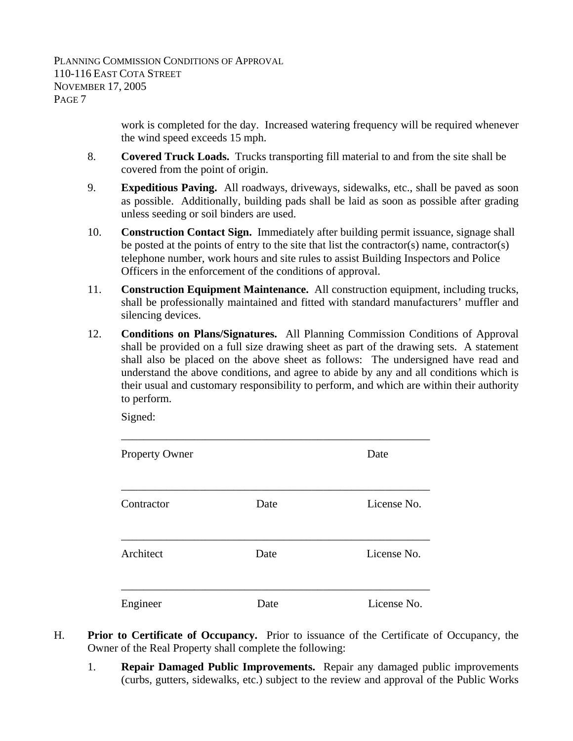work is completed for the day. Increased watering frequency will be required whenever the wind speed exceeds 15 mph.

- 8. **Covered Truck Loads.** Trucks transporting fill material to and from the site shall be covered from the point of origin.
- 9. **Expeditious Paving.** All roadways, driveways, sidewalks, etc., shall be paved as soon as possible. Additionally, building pads shall be laid as soon as possible after grading unless seeding or soil binders are used.
- 10. **Construction Contact Sign.** Immediately after building permit issuance, signage shall be posted at the points of entry to the site that list the contractor(s) name, contractor(s) telephone number, work hours and site rules to assist Building Inspectors and Police Officers in the enforcement of the conditions of approval.
- 11. **Construction Equipment Maintenance.** All construction equipment, including trucks, shall be professionally maintained and fitted with standard manufacturers' muffler and silencing devices.
- 12. **Conditions on Plans/Signatures.** All Planning Commission Conditions of Approval shall be provided on a full size drawing sheet as part of the drawing sets. A statement shall also be placed on the above sheet as follows: The undersigned have read and understand the above conditions, and agree to abide by any and all conditions which is their usual and customary responsibility to perform, and which are within their authority to perform.

| <b>Property Owner</b> |      | Date        |
|-----------------------|------|-------------|
|                       |      |             |
| Contractor            | Date | License No. |
|                       |      |             |
| Architect             | Date | License No. |
|                       |      |             |
| Engineer              | Date | License No. |

- H. **Prior to Certificate of Occupancy.** Prior to issuance of the Certificate of Occupancy, the Owner of the Real Property shall complete the following:
	- 1. **Repair Damaged Public Improvements.** Repair any damaged public improvements (curbs, gutters, sidewalks, etc.) subject to the review and approval of the Public Works

Signed: